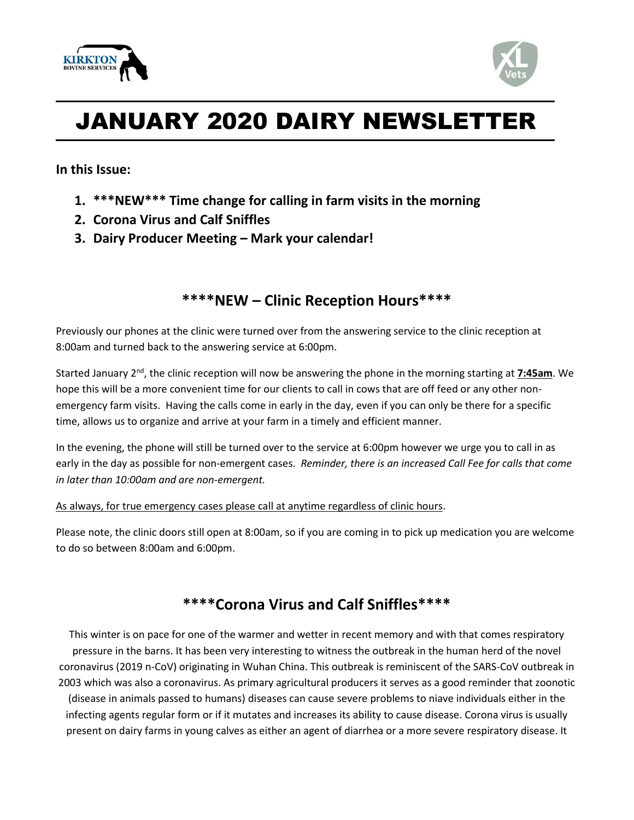



# JANUARY 2020 DAIRY NEWSLETTER

**In this Issue:**

- **1. \*\*\*NEW\*\*\* Time change for calling in farm visits in the morning**
- **2. Corona Virus and Calf Sniffles**
- **3. Dairy Producer Meeting – Mark your calendar!**

### **\*\*\*\*NEW – Clinic Reception Hours\*\*\*\***

Previously our phones at the clinic were turned over from the answering service to the clinic reception at 8:00am and turned back to the answering service at 6:00pm.

Started January 2nd, the clinic reception will now be answering the phone in the morning starting at **7:45am**. We hope this will be a more convenient time for our clients to call in cows that are off feed or any other nonemergency farm visits. Having the calls come in early in the day, even if you can only be there for a specific time, allows us to organize and arrive at your farm in a timely and efficient manner.

In the evening, the phone will still be turned over to the service at 6:00pm however we urge you to call in as early in the day as possible for non-emergent cases. *Reminder, there is an increased Call Fee for calls that come in later than 10:00am and are non-emergent.*

#### As always, for true emergency cases please call at anytime regardless of clinic hours.

Please note, the clinic doors still open at 8:00am, so if you are coming in to pick up medication you are welcome to do so between 8:00am and 6:00pm.

## **\*\*\*\*Corona Virus and Calf Sniffles\*\*\*\***

This winter is on pace for one of the warmer and wetter in recent memory and with that comes respiratory pressure in the barns. It has been very interesting to witness the outbreak in the human herd of the novel coronavirus (2019 n-CoV) originating in Wuhan China. This outbreak is reminiscent of the SARS-CoV outbreak in 2003 which was also a coronavirus. As primary agricultural producers it serves as a good reminder that zoonotic (disease in animals passed to humans) diseases can cause severe problems to niave individuals either in the infecting agents regular form or if it mutates and increases its ability to cause disease. Corona virus is usually present on dairy farms in young calves as either an agent of diarrhea or a more severe respiratory disease. It